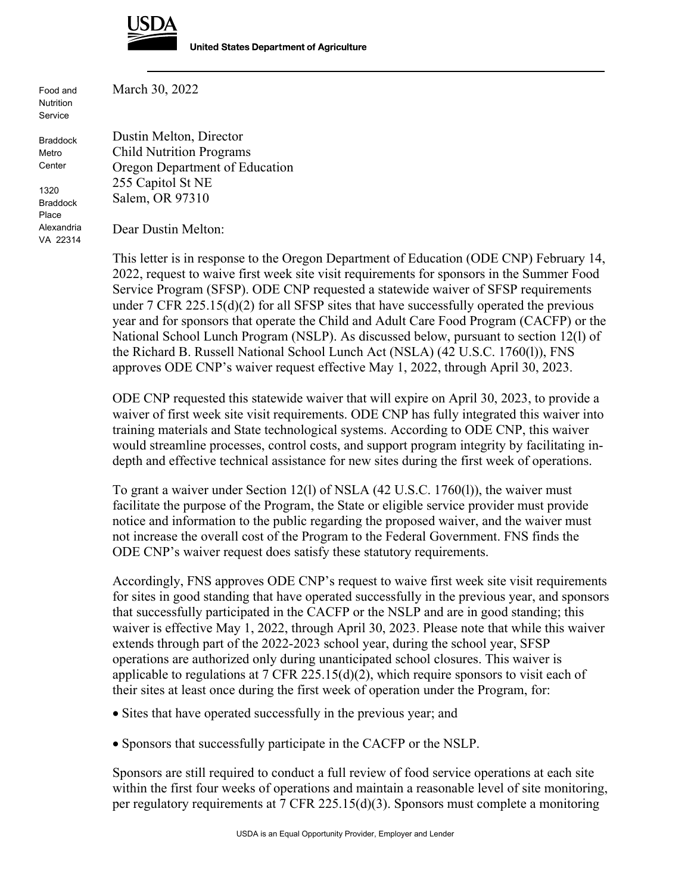

Food and Nutrition Service

Braddock Metro **Center** 

1320 Braddock Place Alexandria VA 22314 March 30, 2022

Dustin Melton, Director Child Nutrition Programs Oregon Department of Education 255 Capitol St NE Salem, OR 97310

Dear Dustin Melton:

This letter is in response to the Oregon Department of Education (ODE CNP) February 14, 2022, request to waive first week site visit requirements for sponsors in the Summer Food Service Program (SFSP). ODE CNP requested a statewide waiver of SFSP requirements under 7 CFR 225.15(d)(2) for all SFSP sites that have successfully operated the previous year and for sponsors that operate the Child and Adult Care Food Program (CACFP) or the National School Lunch Program (NSLP). As discussed below, pursuant to section 12(l) of the Richard B. Russell National School Lunch Act (NSLA) (42 U.S.C. 1760(l)), FNS approves ODE CNP's waiver request effective May 1, 2022, through April 30, 2023.

ODE CNP requested this statewide waiver that will expire on April 30, 2023, to provide a waiver of first week site visit requirements. ODE CNP has fully integrated this waiver into training materials and State technological systems. According to ODE CNP, this waiver would streamline processes, control costs, and support program integrity by facilitating indepth and effective technical assistance for new sites during the first week of operations.

To grant a waiver under Section 12(l) of NSLA (42 U.S.C. 1760(l)), the waiver must facilitate the purpose of the Program, the State or eligible service provider must provide notice and information to the public regarding the proposed waiver, and the waiver must not increase the overall cost of the Program to the Federal Government. FNS finds the ODE CNP's waiver request does satisfy these statutory requirements.

Accordingly, FNS approves ODE CNP's request to waive first week site visit requirements for sites in good standing that have operated successfully in the previous year, and sponsors that successfully participated in the CACFP or the NSLP and are in good standing; this waiver is effective May 1, 2022, through April 30, 2023. Please note that while this waiver extends through part of the 2022-2023 school year, during the school year, SFSP operations are authorized only during unanticipated school closures. This waiver is applicable to regulations at 7 CFR 225.15(d)(2), which require sponsors to visit each of their sites at least once during the first week of operation under the Program, for:

- Sites that have operated successfully in the previous year; and
- Sponsors that successfully participate in the CACFP or the NSLP.

Sponsors are still required to conduct a full review of food service operations at each site within the first four weeks of operations and maintain a reasonable level of site monitoring, per regulatory requirements at 7 CFR 225.15(d)(3). Sponsors must complete a monitoring